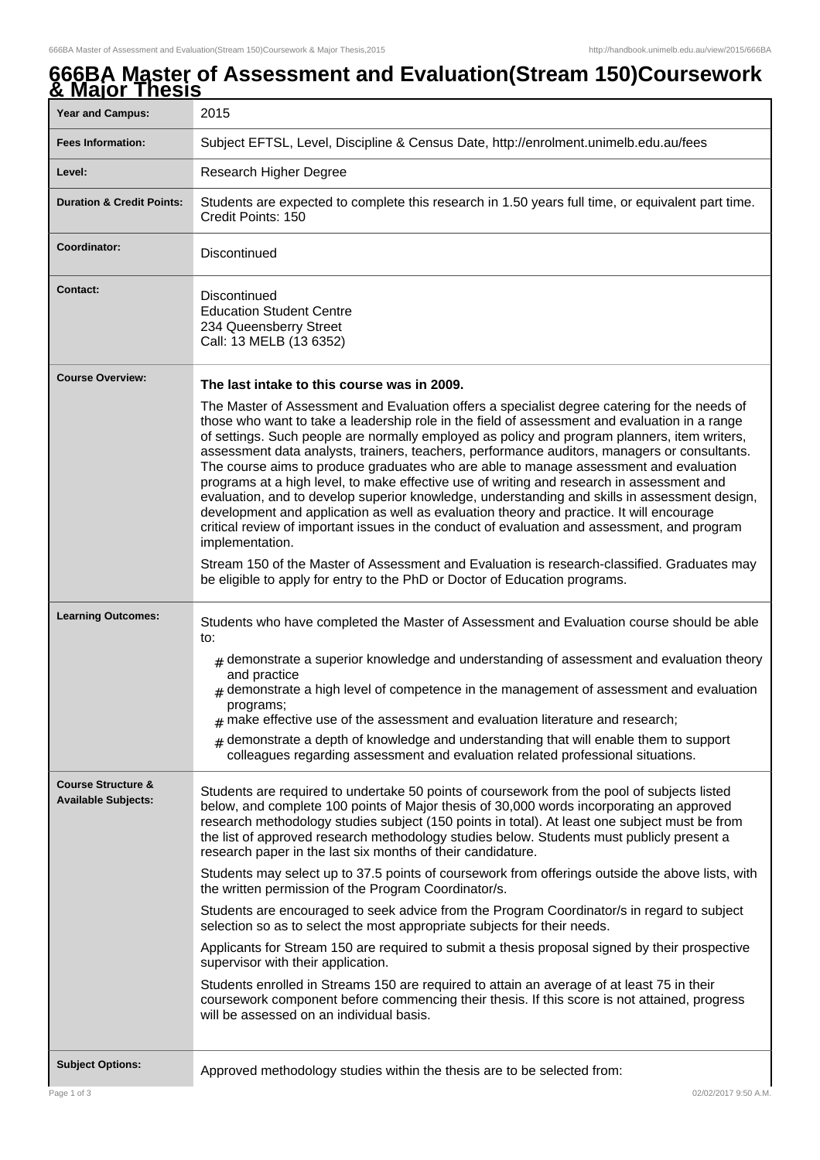## **666BA Master of Assessment and Evaluation(Stream 150)Coursework & Major Thesis**

| <b>Year and Campus:</b>                                     | 2015                                                                                                                                                                                                                                                                                                                                                                                                                                                                                                                                                                                                                                                                                                                                                                                                                                                                                                |  |  |
|-------------------------------------------------------------|-----------------------------------------------------------------------------------------------------------------------------------------------------------------------------------------------------------------------------------------------------------------------------------------------------------------------------------------------------------------------------------------------------------------------------------------------------------------------------------------------------------------------------------------------------------------------------------------------------------------------------------------------------------------------------------------------------------------------------------------------------------------------------------------------------------------------------------------------------------------------------------------------------|--|--|
| <b>Fees Information:</b>                                    | Subject EFTSL, Level, Discipline & Census Date, http://enrolment.unimelb.edu.au/fees                                                                                                                                                                                                                                                                                                                                                                                                                                                                                                                                                                                                                                                                                                                                                                                                                |  |  |
| Level:                                                      | Research Higher Degree                                                                                                                                                                                                                                                                                                                                                                                                                                                                                                                                                                                                                                                                                                                                                                                                                                                                              |  |  |
| <b>Duration &amp; Credit Points:</b>                        | Students are expected to complete this research in 1.50 years full time, or equivalent part time.<br>Credit Points: 150                                                                                                                                                                                                                                                                                                                                                                                                                                                                                                                                                                                                                                                                                                                                                                             |  |  |
| Coordinator:                                                | Discontinued                                                                                                                                                                                                                                                                                                                                                                                                                                                                                                                                                                                                                                                                                                                                                                                                                                                                                        |  |  |
| <b>Contact:</b>                                             | Discontinued<br><b>Education Student Centre</b><br>234 Queensberry Street<br>Call: 13 MELB (13 6352)                                                                                                                                                                                                                                                                                                                                                                                                                                                                                                                                                                                                                                                                                                                                                                                                |  |  |
| <b>Course Overview:</b>                                     | The last intake to this course was in 2009.                                                                                                                                                                                                                                                                                                                                                                                                                                                                                                                                                                                                                                                                                                                                                                                                                                                         |  |  |
|                                                             | The Master of Assessment and Evaluation offers a specialist degree catering for the needs of<br>those who want to take a leadership role in the field of assessment and evaluation in a range<br>of settings. Such people are normally employed as policy and program planners, item writers,<br>assessment data analysts, trainers, teachers, performance auditors, managers or consultants.<br>The course aims to produce graduates who are able to manage assessment and evaluation<br>programs at a high level, to make effective use of writing and research in assessment and<br>evaluation, and to develop superior knowledge, understanding and skills in assessment design,<br>development and application as well as evaluation theory and practice. It will encourage<br>critical review of important issues in the conduct of evaluation and assessment, and program<br>implementation. |  |  |
|                                                             | Stream 150 of the Master of Assessment and Evaluation is research-classified. Graduates may<br>be eligible to apply for entry to the PhD or Doctor of Education programs.                                                                                                                                                                                                                                                                                                                                                                                                                                                                                                                                                                                                                                                                                                                           |  |  |
| <b>Learning Outcomes:</b>                                   | Students who have completed the Master of Assessment and Evaluation course should be able<br>to:                                                                                                                                                                                                                                                                                                                                                                                                                                                                                                                                                                                                                                                                                                                                                                                                    |  |  |
|                                                             | $_{\rm H}$ demonstrate a superior knowledge and understanding of assessment and evaluation theory<br>and practice<br>$*$ demonstrate a high level of competence in the management of assessment and evaluation<br>programs;<br>$#$ make effective use of the assessment and evaluation literature and research;                                                                                                                                                                                                                                                                                                                                                                                                                                                                                                                                                                                     |  |  |
|                                                             | $#$ demonstrate a depth of knowledge and understanding that will enable them to support<br>colleagues regarding assessment and evaluation related professional situations.                                                                                                                                                                                                                                                                                                                                                                                                                                                                                                                                                                                                                                                                                                                          |  |  |
| <b>Course Structure &amp;</b><br><b>Available Subjects:</b> | Students are required to undertake 50 points of coursework from the pool of subjects listed<br>below, and complete 100 points of Major thesis of 30,000 words incorporating an approved<br>research methodology studies subject (150 points in total). At least one subject must be from<br>the list of approved research methodology studies below. Students must publicly present a<br>research paper in the last six months of their candidature.                                                                                                                                                                                                                                                                                                                                                                                                                                                |  |  |
|                                                             | Students may select up to 37.5 points of coursework from offerings outside the above lists, with<br>the written permission of the Program Coordinator/s.                                                                                                                                                                                                                                                                                                                                                                                                                                                                                                                                                                                                                                                                                                                                            |  |  |
|                                                             | Students are encouraged to seek advice from the Program Coordinator/s in regard to subject<br>selection so as to select the most appropriate subjects for their needs.                                                                                                                                                                                                                                                                                                                                                                                                                                                                                                                                                                                                                                                                                                                              |  |  |
|                                                             | Applicants for Stream 150 are required to submit a thesis proposal signed by their prospective<br>supervisor with their application.                                                                                                                                                                                                                                                                                                                                                                                                                                                                                                                                                                                                                                                                                                                                                                |  |  |
|                                                             | Students enrolled in Streams 150 are required to attain an average of at least 75 in their<br>coursework component before commencing their thesis. If this score is not attained, progress<br>will be assessed on an individual basis.                                                                                                                                                                                                                                                                                                                                                                                                                                                                                                                                                                                                                                                              |  |  |
| <b>Subject Options:</b>                                     | Approved methodology studies within the thesis are to be selected from:                                                                                                                                                                                                                                                                                                                                                                                                                                                                                                                                                                                                                                                                                                                                                                                                                             |  |  |
| Page 1 of 3                                                 | 02/02/2017 9:50 A.M.                                                                                                                                                                                                                                                                                                                                                                                                                                                                                                                                                                                                                                                                                                                                                                                                                                                                                |  |  |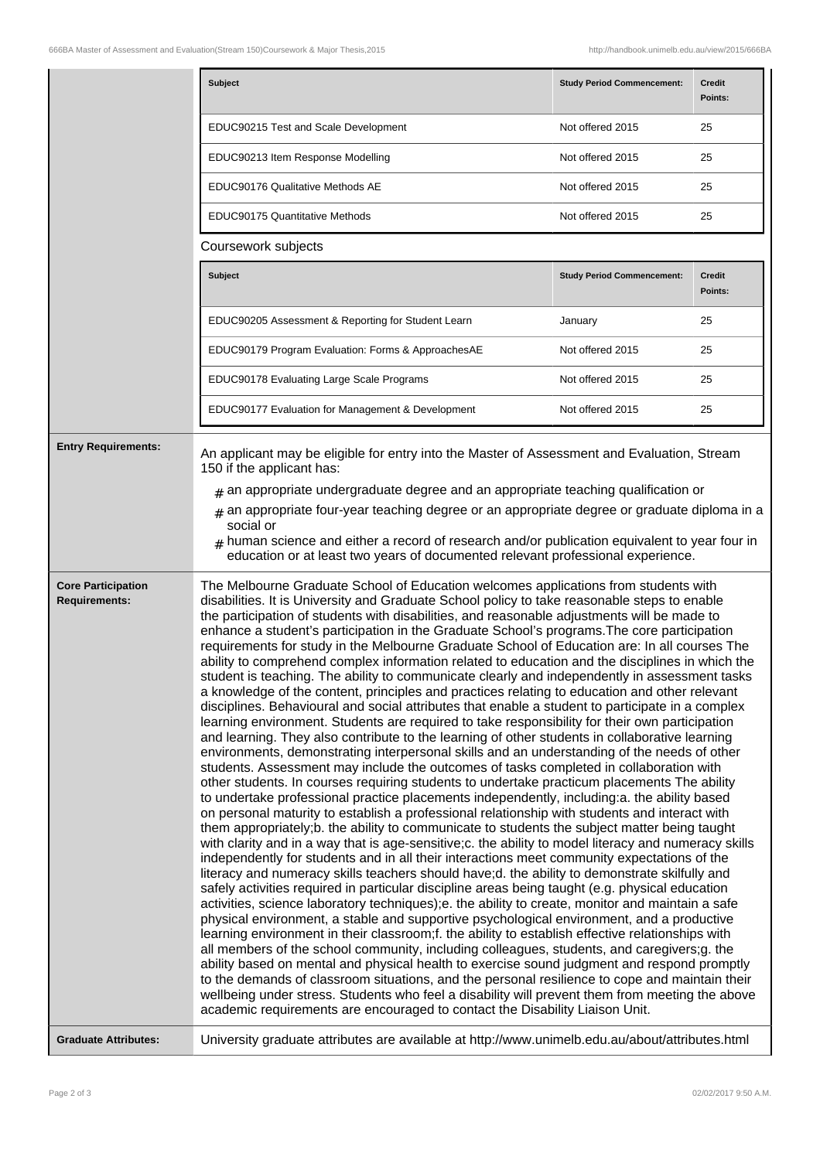|                                                   | <b>Subject</b>                                                                                                                                                                                                                                                                                                                                                                                                                                                                                                                                                                                                                                                                                                                                                                                                                                                                                                                                                                                                                                                                                                                                                                                                                                                                                                                                                                                                                                                                                                                                                                                                                                                                                                                                                                                                                                                                                                                                                                                                                                                                                                                                                                                                                                                                                                                                                                                                                                                                                                                                                                                                                                                                                                                                                                                                                                                                           | <b>Study Period Commencement:</b> | <b>Credit</b><br>Points: |
|---------------------------------------------------|------------------------------------------------------------------------------------------------------------------------------------------------------------------------------------------------------------------------------------------------------------------------------------------------------------------------------------------------------------------------------------------------------------------------------------------------------------------------------------------------------------------------------------------------------------------------------------------------------------------------------------------------------------------------------------------------------------------------------------------------------------------------------------------------------------------------------------------------------------------------------------------------------------------------------------------------------------------------------------------------------------------------------------------------------------------------------------------------------------------------------------------------------------------------------------------------------------------------------------------------------------------------------------------------------------------------------------------------------------------------------------------------------------------------------------------------------------------------------------------------------------------------------------------------------------------------------------------------------------------------------------------------------------------------------------------------------------------------------------------------------------------------------------------------------------------------------------------------------------------------------------------------------------------------------------------------------------------------------------------------------------------------------------------------------------------------------------------------------------------------------------------------------------------------------------------------------------------------------------------------------------------------------------------------------------------------------------------------------------------------------------------------------------------------------------------------------------------------------------------------------------------------------------------------------------------------------------------------------------------------------------------------------------------------------------------------------------------------------------------------------------------------------------------------------------------------------------------------------------------------------------------|-----------------------------------|--------------------------|
|                                                   | EDUC90215 Test and Scale Development                                                                                                                                                                                                                                                                                                                                                                                                                                                                                                                                                                                                                                                                                                                                                                                                                                                                                                                                                                                                                                                                                                                                                                                                                                                                                                                                                                                                                                                                                                                                                                                                                                                                                                                                                                                                                                                                                                                                                                                                                                                                                                                                                                                                                                                                                                                                                                                                                                                                                                                                                                                                                                                                                                                                                                                                                                                     | Not offered 2015                  | 25                       |
|                                                   | EDUC90213 Item Response Modelling                                                                                                                                                                                                                                                                                                                                                                                                                                                                                                                                                                                                                                                                                                                                                                                                                                                                                                                                                                                                                                                                                                                                                                                                                                                                                                                                                                                                                                                                                                                                                                                                                                                                                                                                                                                                                                                                                                                                                                                                                                                                                                                                                                                                                                                                                                                                                                                                                                                                                                                                                                                                                                                                                                                                                                                                                                                        | Not offered 2015                  | 25                       |
|                                                   | EDUC90176 Qualitative Methods AE                                                                                                                                                                                                                                                                                                                                                                                                                                                                                                                                                                                                                                                                                                                                                                                                                                                                                                                                                                                                                                                                                                                                                                                                                                                                                                                                                                                                                                                                                                                                                                                                                                                                                                                                                                                                                                                                                                                                                                                                                                                                                                                                                                                                                                                                                                                                                                                                                                                                                                                                                                                                                                                                                                                                                                                                                                                         | Not offered 2015                  | 25                       |
|                                                   | <b>EDUC90175 Quantitative Methods</b>                                                                                                                                                                                                                                                                                                                                                                                                                                                                                                                                                                                                                                                                                                                                                                                                                                                                                                                                                                                                                                                                                                                                                                                                                                                                                                                                                                                                                                                                                                                                                                                                                                                                                                                                                                                                                                                                                                                                                                                                                                                                                                                                                                                                                                                                                                                                                                                                                                                                                                                                                                                                                                                                                                                                                                                                                                                    | Not offered 2015                  | 25                       |
|                                                   | Coursework subjects                                                                                                                                                                                                                                                                                                                                                                                                                                                                                                                                                                                                                                                                                                                                                                                                                                                                                                                                                                                                                                                                                                                                                                                                                                                                                                                                                                                                                                                                                                                                                                                                                                                                                                                                                                                                                                                                                                                                                                                                                                                                                                                                                                                                                                                                                                                                                                                                                                                                                                                                                                                                                                                                                                                                                                                                                                                                      |                                   |                          |
|                                                   | <b>Subject</b>                                                                                                                                                                                                                                                                                                                                                                                                                                                                                                                                                                                                                                                                                                                                                                                                                                                                                                                                                                                                                                                                                                                                                                                                                                                                                                                                                                                                                                                                                                                                                                                                                                                                                                                                                                                                                                                                                                                                                                                                                                                                                                                                                                                                                                                                                                                                                                                                                                                                                                                                                                                                                                                                                                                                                                                                                                                                           | <b>Study Period Commencement:</b> | <b>Credit</b><br>Points: |
|                                                   | EDUC90205 Assessment & Reporting for Student Learn                                                                                                                                                                                                                                                                                                                                                                                                                                                                                                                                                                                                                                                                                                                                                                                                                                                                                                                                                                                                                                                                                                                                                                                                                                                                                                                                                                                                                                                                                                                                                                                                                                                                                                                                                                                                                                                                                                                                                                                                                                                                                                                                                                                                                                                                                                                                                                                                                                                                                                                                                                                                                                                                                                                                                                                                                                       | January                           | 25                       |
|                                                   | EDUC90179 Program Evaluation: Forms & ApproachesAE                                                                                                                                                                                                                                                                                                                                                                                                                                                                                                                                                                                                                                                                                                                                                                                                                                                                                                                                                                                                                                                                                                                                                                                                                                                                                                                                                                                                                                                                                                                                                                                                                                                                                                                                                                                                                                                                                                                                                                                                                                                                                                                                                                                                                                                                                                                                                                                                                                                                                                                                                                                                                                                                                                                                                                                                                                       | Not offered 2015                  | 25                       |
|                                                   | EDUC90178 Evaluating Large Scale Programs                                                                                                                                                                                                                                                                                                                                                                                                                                                                                                                                                                                                                                                                                                                                                                                                                                                                                                                                                                                                                                                                                                                                                                                                                                                                                                                                                                                                                                                                                                                                                                                                                                                                                                                                                                                                                                                                                                                                                                                                                                                                                                                                                                                                                                                                                                                                                                                                                                                                                                                                                                                                                                                                                                                                                                                                                                                | Not offered 2015                  | 25                       |
|                                                   | EDUC90177 Evaluation for Management & Development                                                                                                                                                                                                                                                                                                                                                                                                                                                                                                                                                                                                                                                                                                                                                                                                                                                                                                                                                                                                                                                                                                                                                                                                                                                                                                                                                                                                                                                                                                                                                                                                                                                                                                                                                                                                                                                                                                                                                                                                                                                                                                                                                                                                                                                                                                                                                                                                                                                                                                                                                                                                                                                                                                                                                                                                                                        | Not offered 2015                  | 25                       |
| <b>Entry Requirements:</b>                        | An applicant may be eligible for entry into the Master of Assessment and Evaluation, Stream<br>150 if the applicant has:<br>$*$ an appropriate undergraduate degree and an appropriate teaching qualification or<br>$*$ an appropriate four-year teaching degree or an appropriate degree or graduate diploma in a<br>social or<br>human science and either a record of research and/or publication equivalent to year four in<br>education or at least two years of documented relevant professional experience.                                                                                                                                                                                                                                                                                                                                                                                                                                                                                                                                                                                                                                                                                                                                                                                                                                                                                                                                                                                                                                                                                                                                                                                                                                                                                                                                                                                                                                                                                                                                                                                                                                                                                                                                                                                                                                                                                                                                                                                                                                                                                                                                                                                                                                                                                                                                                                        |                                   |                          |
| <b>Core Participation</b><br><b>Requirements:</b> | The Melbourne Graduate School of Education welcomes applications from students with<br>disabilities. It is University and Graduate School policy to take reasonable steps to enable<br>the participation of students with disabilities, and reasonable adjustments will be made to<br>enhance a student's participation in the Graduate School's programs. The core participation<br>requirements for study in the Melbourne Graduate School of Education are: In all courses The<br>ability to comprehend complex information related to education and the disciplines in which the<br>student is teaching. The ability to communicate clearly and independently in assessment tasks<br>a knowledge of the content, principles and practices relating to education and other relevant<br>disciplines. Behavioural and social attributes that enable a student to participate in a complex<br>learning environment. Students are required to take responsibility for their own participation<br>and learning. They also contribute to the learning of other students in collaborative learning<br>environments, demonstrating interpersonal skills and an understanding of the needs of other<br>students. Assessment may include the outcomes of tasks completed in collaboration with<br>other students. In courses requiring students to undertake practicum placements The ability<br>to undertake professional practice placements independently, including:a. the ability based<br>on personal maturity to establish a professional relationship with students and interact with<br>them appropriately;b. the ability to communicate to students the subject matter being taught<br>with clarity and in a way that is age-sensitive;c. the ability to model literacy and numeracy skills<br>independently for students and in all their interactions meet community expectations of the<br>literacy and numeracy skills teachers should have;d. the ability to demonstrate skilfully and<br>safely activities required in particular discipline areas being taught (e.g. physical education<br>activities, science laboratory techniques);e. the ability to create, monitor and maintain a safe<br>physical environment, a stable and supportive psychological environment, and a productive<br>learning environment in their classroom;f. the ability to establish effective relationships with<br>all members of the school community, including colleagues, students, and caregivers;g. the<br>ability based on mental and physical health to exercise sound judgment and respond promptly<br>to the demands of classroom situations, and the personal resilience to cope and maintain their<br>wellbeing under stress. Students who feel a disability will prevent them from meeting the above<br>academic requirements are encouraged to contact the Disability Liaison Unit. |                                   |                          |
| <b>Graduate Attributes:</b>                       | University graduate attributes are available at http://www.unimelb.edu.au/about/attributes.html                                                                                                                                                                                                                                                                                                                                                                                                                                                                                                                                                                                                                                                                                                                                                                                                                                                                                                                                                                                                                                                                                                                                                                                                                                                                                                                                                                                                                                                                                                                                                                                                                                                                                                                                                                                                                                                                                                                                                                                                                                                                                                                                                                                                                                                                                                                                                                                                                                                                                                                                                                                                                                                                                                                                                                                          |                                   |                          |